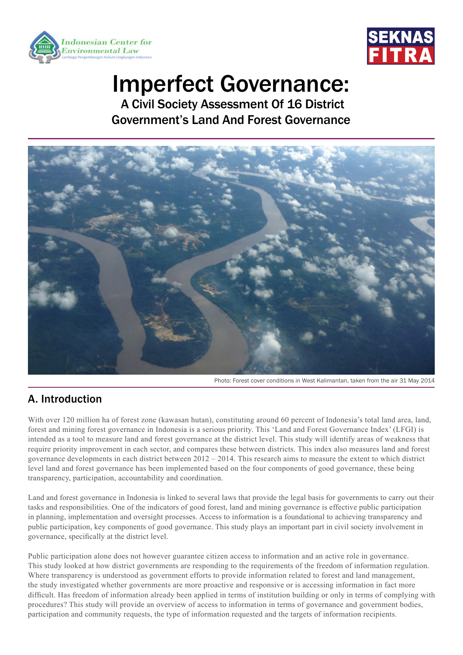



# Imperfect Governance:

 A Civil Society Assessment Of 16 District Government's Land And Forest Governance



Photo: Forest cover conditions in West Kalimantan, taken from the air 31 May 2014

# A. Introduction

With over 120 million ha of forest zone (kawasan hutan), constituting around 60 percent of Indonesia's total land area, land, forest and mining forest governance in Indonesia is a serious priority. This 'Land and Forest Governance Index' (LFGI) is intended as a tool to measure land and forest governance at the district level. This study will identify areas of weakness that require priority improvement in each sector, and compares these between districts. This index also measures land and forest governance developments in each district between 2012 – 2014. This research aims to measure the extent to which district level land and forest governance has been implemented based on the four components of good governance, these being transparency, participation, accountability and coordination.

Land and forest governance in Indonesia is linked to several laws that provide the legal basis for governments to carry out their tasks and responsibilities. One of the indicators of good forest, land and mining governance is effective public participation in planning, implementation and oversight processes. Access to information is a foundational to achieving transparency and public participation, key components of good governance. This study plays an important part in civil society involvement in governance, specifically at the district level.

Public participation alone does not however guarantee citizen access to information and an active role in governance. This study looked at how district governments are responding to the requirements of the freedom of information regulation. Where transparency is understood as government efforts to provide information related to forest and land management, the study investigated whether governments are more proactive and responsive or is accessing information in fact more difficult. Has freedom of information already been applied in terms of institution building or only in terms of complying with procedures? This study will provide an overview of access to information in terms of governance and government bodies, participation and community requests, the type of information requested and the targets of information recipients.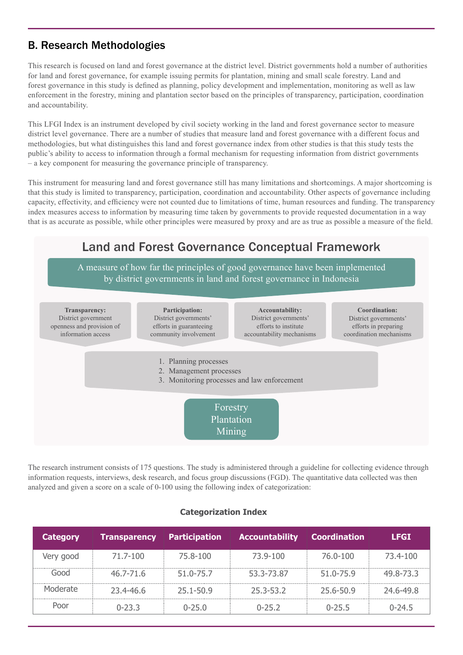# B. Research Methodologies

This research is focused on land and forest governance at the district level. District governments hold a number of authorities for land and forest governance, for example issuing permits for plantation, mining and small scale forestry. Land and forest governance in this study is defined as planning, policy development and implementation, monitoring as well as law enforcement in the forestry, mining and plantation sector based on the principles of transparency, participation, coordination and accountability.

This LFGI Index is an instrument developed by civil society working in the land and forest governance sector to measure district level governance. There are a number of studies that measure land and forest governance with a different focus and methodologies, but what distinguishes this land and forest governance index from other studies is that this study tests the public's ability to access to information through a formal mechanism for requesting information from district governments – a key component for measuring the governance principle of transparency.

This instrument for measuring land and forest governance still has many limitations and shortcomings. A major shortcoming is that this study is limited to transparency, participation, coordination and accountability. Other aspects of governance including capacity, effectivity, and efficiency were not counted due to limitations of time, human resources and funding. The transparency index measures access to information by measuring time taken by governments to provide requested documentation in a way that is as accurate as possible, while other principles were measured by proxy and are as true as possible a measure of the field.



The research instrument consists of 175 questions. The study is administered through a guideline for collecting evidence through information requests, interviews, desk research, and focus group discussions (FGD). The quantitative data collected was then analyzed and given a score on a scale of 0-100 using the following index of categorization:

| <b>Category</b> | <b>Transparency Participation</b> |           | <b>Accountability</b> | <b>Coordination</b> | <b>LFGI</b> |
|-----------------|-----------------------------------|-----------|-----------------------|---------------------|-------------|
| Very good       | 71.7-100                          | 75.8-100  | 73.9-100              | 76.0-100            | 73.4-100    |
| nnn-)           | $46.7 - 71.6$                     | 51.0-75.7 | 53.3-73.87            | 51.0-75.9           | 49.8-73.3   |
| Moderate        | $23.4 - 46.6$                     | 25.1-50.9 | 25.3-53.2             | 25.6-50.9           | 24.6-49.8   |
|                 | በ-23 3                            | ገ-25 በ    | ገ-25 2                | $0 - 255$           | $0-24.5$    |

#### **Categorization Index**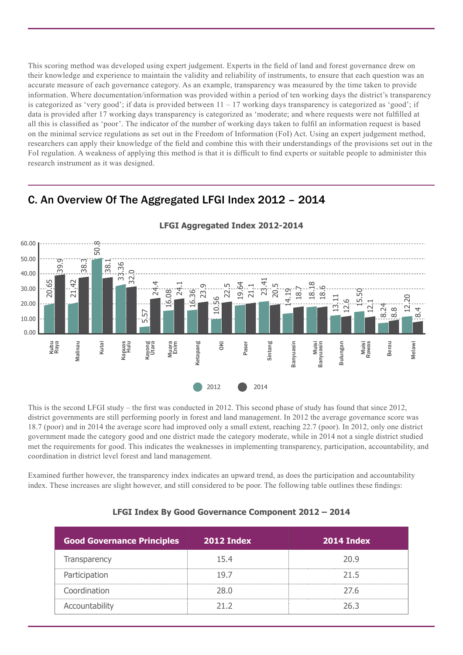This scoring method was developed using expert judgement. Experts in the field of land and forest governance drew on their knowledge and experience to maintain the validity and reliability of instruments, to ensure that each question was an accurate measure of each governance category. As an example, transparency was measured by the time taken to provide information. Where documentation/information was provided within a period of ten working days the district's transparency is categorized as 'very good'; if data is provided between  $11 - 17$  working days transparency is categorized as 'good'; if data is provided after 17 working days transparency is categorized as 'moderate; and where requests were not fulfilled at all this is classified as 'poor'. The indicator of the number of working days taken to fulfil an information request is based on the minimal service regulations as set out in the Freedom of Information (FoI) Act. Using an expert judgement method, researchers can apply their knowledge of the field and combine this with their understandings of the provisions set out in the FoI regulation. A weakness of applying this method is that it is difficult to find experts or suitable people to administer this research instrument as it was designed.

## C. An Overview Of The Aggregated LFGI Index 2012 – 2014



This is the second LFGI study – the first was conducted in 2012. This second phase of study has found that since 2012, district governments are still performing poorly in forest and land management. In 2012 the average governance score was 18.7 (poor) and in 2014 the average score had improved only a small extent, reaching 22.7 (poor). In 2012, only one district government made the category good and one district made the category moderate, while in 2014 not a single district studied met the requirements for good. This indicates the weaknesses in implementing transparency, participation, accountability, and coordination in district level forest and land management.

Examined further however, the transparency index indicates an upward trend, as does the participation and accountability index. These increases are slight however, and still considered to be poor. The following table outlines these findings:

| <b>Good Governance Principles</b> | 2012 Index | 2014 Index |
|-----------------------------------|------------|------------|
| Transparency                      | 154        | 20 Q       |
| Participation                     | 197        | 21 5       |
| Coordination                      | ጋጸ በ       | 27 R       |
| Accountability                    |            | フム 3       |

#### **LFGI Index By Good Governance Component 2012 – 2014**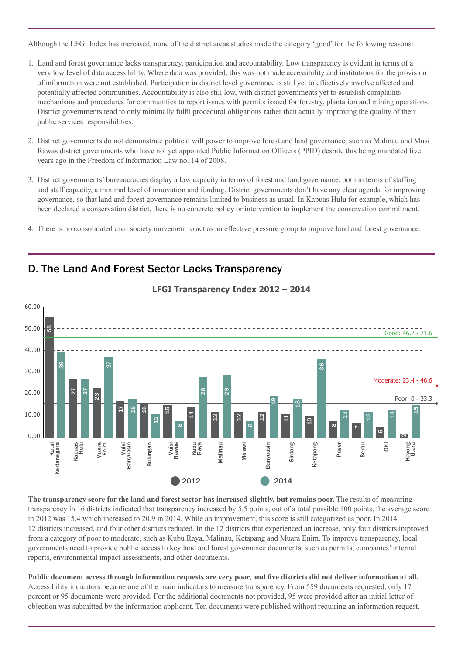Although the LFGI Index has increased, none of the district areas studies made the category 'good' for the following reasons:

- 1. Land and forest governance lacks transparency, participation and accountability. Low transparency is evident in terms of a very low level of data accessibility. Where data was provided, this was not made accessibility and institutions for the provision of information were not established. Participation in district level governance is still yet to effectively involve affected and potentially affected communities. Accountability is also still low, with district governments yet to establish complaints mechanisms and procedures for communities to report issues with permits issued for forestry, plantation and mining operations. District governments tend to only minimally fulfil procedural obligations rather than actually improving the quality of their public services responsibilities.
- 2. District governments do not demonstrate political will power to improve forest and land governance, such as Malinau and Musi Rawas district governments who have not yet appointed Public Information Officers (PPID) despite this being mandated five years ago in the Freedom of Information Law no. 14 of 2008.
- 3. District governments' bureaucracies display a low capacity in terms of forest and land governance, both in terms of staffing and staff capacity, a minimal level of innovation and funding. District governments don't have any clear agenda for improving governance, so that land and forest governance remains limited to business as usual. In Kapuas Hulu for example, which has been declared a conservation district, there is no concrete policy or intervention to implement the conservation commitment.
- 4. There is no consolidated civil society movement to act as an effective pressure group to improve land and forest governance.



## D. The Land And Forest Sector Lacks Transparency

**The transparency score for the land and forest sector has increased slightly, but remains poor.** The results of measuring transparency in 16 districts indicated that transparency increased by 5.5 points, out of a total possible 100 points, the average score in 2012 was 15.4 which increased to 20.9 in 2014. While an improvement, this score is still categorized as poor. In 2014, 12 districts increased, and four other districts reduced. In the 12 districts that experienced an increase, only four districts improved from a category of poor to moderate, such as Kubu Raya, Malinau, Ketapang and Muara Enim. To improve transparency, local governments need to provide public access to key land and forest governance documents, such as permits, companies' internal reports, environmental impact assessments, and other documents.

**Public document access through information requests are very poor, and five districts did not deliver information at all.** Accessibility indicators became one of the main indicators to measure transparency. From 559 documents requested, only 17 percent or 95 documents were provided. For the additional documents not provided, 95 were provided after an initial letter of objection was submitted by the information applicant. Ten documents were published without requiring an information request.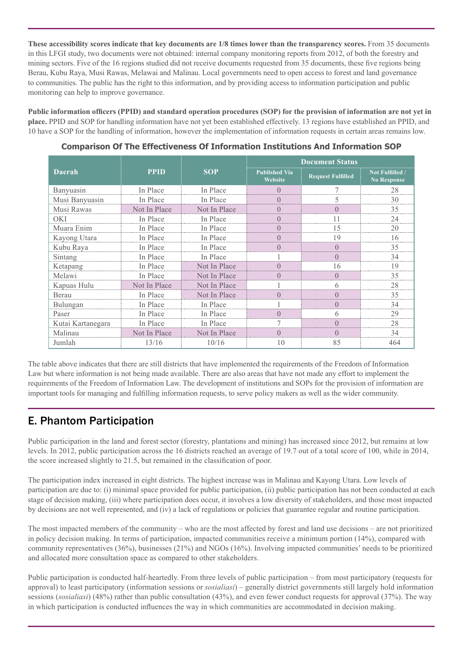**These accessibility scores indicate that key documents are 1/8 times lower than the transparency scores.** From 35 documents in this LFGI study, two documents were not obtained: internal company monitoring reports from 2012, of both the forestry and mining sectors. Five of the 16 regions studied did not receive documents requested from 35 documents, these five regions being Berau, Kubu Raya, Musi Rawas, Melawai and Malinau. Local governments need to open access to forest and land governance to communities. The public has the right to this information, and by providing access to information participation and public monitoring can help to improve governance.

**Public information officers (PPID) and standard operation procedures (SOP) for the provision of information are not yet in place.** PPID and SOP for handling information have not yet been established effectively. 13 regions have established an PPID, and 10 have a SOP for the handling of information, however the implementation of information requests in certain areas remains low.

|                   | <b>PPID</b>  | <b>SOP</b>   | <b>Document Status</b>          |                          |                                       |
|-------------------|--------------|--------------|---------------------------------|--------------------------|---------------------------------------|
| <b>Daerah</b>     |              |              | <b>Published Via</b><br>Website | <b>Request Fulfilled</b> | Not Fulfilled /<br><b>No Response</b> |
| Banyuasin         | In Place     | In Place     |                                 |                          | 28                                    |
| Musi Banyuasin    | In Place     | In Place     |                                 |                          | 30                                    |
| Musi Rawas        | Not In Place | Not In Place |                                 |                          | 35                                    |
| OKI               | In Place     | In Place     |                                 |                          | 24                                    |
| Muara Enim        | In Place     | In Place     |                                 | 15                       | 20                                    |
| Kayong Utara      | In Place     | In Place     |                                 | 19                       | 16                                    |
| Kubu Raya         | In Place     | In Place     |                                 |                          | 35                                    |
| Sintang           | In Place     | In Place     |                                 |                          | 34                                    |
| Ketapang          | In Place     | Not In Place |                                 | 16                       | 19                                    |
| Melawi            | In Place     | Not In Place |                                 |                          | 35                                    |
| Kapuas Hulu       | Not In Place | Not In Place |                                 | 6                        | 28                                    |
| Berau             | In Place     | Not In Place |                                 |                          | 35                                    |
| Bulungan          | In Place     | In Place     |                                 |                          | 34                                    |
| Paser             | In Place     | In Place     |                                 |                          | 29                                    |
| Kutai Kartanegara | In Place     | In Place     |                                 |                          | 28                                    |
| Malinau           | Not In Place | Not In Place |                                 |                          | 34                                    |
| Jumlah            | 13/16        | 10/16        | 10                              | 85                       | 464                                   |

**Comparison Of The Effectiveness Of Information Institutions And Information SOP**

The table above indicates that there are still districts that have implemented the requirements of the Freedom of Information Law but where information is not being made available. There are also areas that have not made any effort to implement the requirements of the Freedom of Information Law. The development of institutions and SOPs for the provision of information are important tools for managing and fulfilling information requests, to serve policy makers as well as the wider community.

# E. Phantom Participation

Public participation in the land and forest sector (forestry, plantations and mining) has increased since 2012, but remains at low levels. In 2012, public participation across the 16 districts reached an average of 19.7 out of a total score of 100, while in 2014, the score increased slightly to 21.5, but remained in the classification of poor.

The participation index increased in eight districts. The highest increase was in Malinau and Kayong Utara. Low levels of participation are due to: (i) minimal space provided for public participation, (ii) public participation has not been conducted at each stage of decision making, (iii) where participation does occur, it involves a low diversity of stakeholders, and those most impacted by decisions are not well represented, and (iv) a lack of regulations or policies that guarantee regular and routine participation.

The most impacted members of the community – who are the most affected by forest and land use decisions – are not prioritized in policy decision making. In terms of participation, impacted communities receive a minimum portion (14%), compared with community representatives (36%), businesses (21%) and NGOs (16%). Involving impacted communities' needs to be prioritized and allocated more consultation space as compared to other stakeholders.

Public participation is conducted half-heartedly. From three levels of public participation – from most participatory (requests for approval) to least participatory (information sessions or *sosialiasi*) – generally district governments still largely hold information sessions (*sosialiasi*) (48%) rather than public consultation (43%), and even fewer conduct requests for approval (37%). The way in which participation is conducted influences the way in which communities are accommodated in decision making.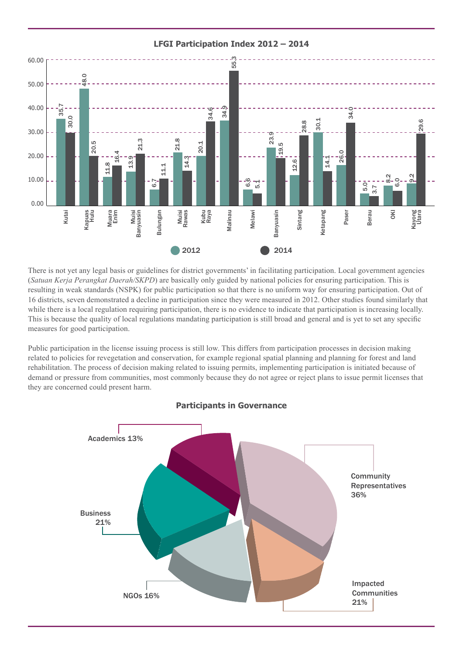

**LFGI Participation Index 2012 – 2014** 

There is not yet any legal basis or guidelines for district governments' in facilitating participation. Local government agencies (*Satuan Kerja Perangkat Daerah/SKPD*) are basically only guided by national policies for ensuring participation. This is resulting in weak standards (NSPK) for public participation so that there is no uniform way for ensuring participation. Out of 16 districts, seven demonstrated a decline in participation since they were measured in 2012. Other studies found similarly that while there is a local regulation requiring participation, there is no evidence to indicate that participation is increasing locally. This is because the quality of local regulations mandating participation is still broad and general and is yet to set any specific measures for good participation.

Public participation in the license issuing process is still low. This differs from participation processes in decision making related to policies for revegetation and conservation, for example regional spatial planning and planning for forest and land rehabilitation. The process of decision making related to issuing permits, implementing participation is initiated because of demand or pressure from communities, most commonly because they do not agree or reject plans to issue permit licenses that they are concerned could present harm.



## **Participants in Governance**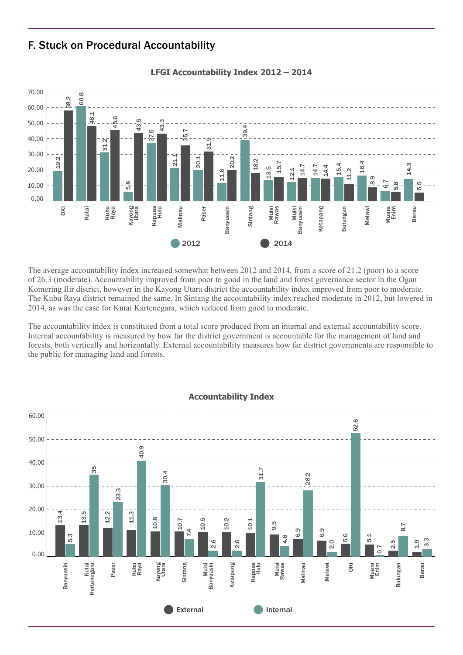## F. Stuck on Procedural Accountability



**LFGI Accountability Index 2012 – 2014**

The average accountability index increased somewhat between 2012 and 2014, from a score of 21.2 (poor) to a score of 26.3 (moderate). Accountability improved from poor to good in the land and forest governance sector in the Ogan Komering Ilir district, however in the Kayong Utara district the accountability index improved from poor to moderate. The Kubu Raya district remained the same. In Sintang the accountability index reached moderate in 2012, but lowered in 2014, as was the case for Kutai Kartenegara, which reduced from good to moderate.

The accountability index is constituted from a total score produced from an internal and external accountability score. Internal accountability is measured by how far the district government is accountable for the management of land and forests, both vertically and horizontally. External accountability measures how far district governments are responsible to the public for managing land and forests.



#### **Accountability Index**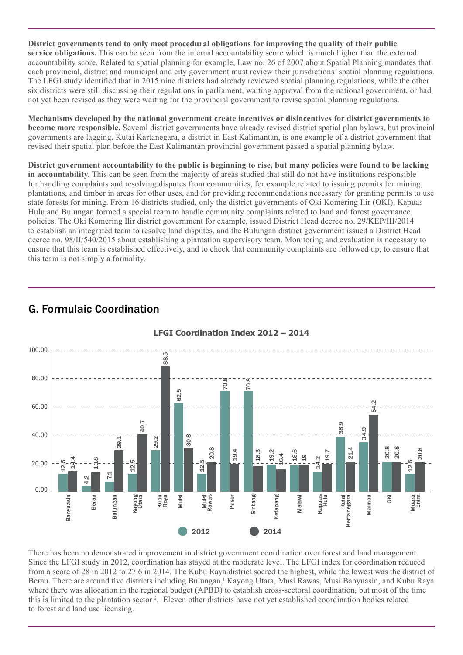**District governments tend to only meet procedural obligations for improving the quality of their public service obligations.** This can be seen from the internal accountability score which is much higher than the external accountability score. Related to spatial planning for example, Law no. 26 of 2007 about Spatial Planning mandates that each provincial, district and municipal and city government must review their jurisdictions' spatial planning regulations. The LFGI study identified that in 2015 nine districts had already reviewed spatial planning regulations, while the other six districts were still discussing their regulations in parliament, waiting approval from the national government, or had not yet been revised as they were waiting for the provincial government to revise spatial planning regulations.

**Mechanisms developed by the national government create incentives or disincentives for district governments to become more responsible.** Several district governments have already revised district spatial plan bylaws, but provincial governments are lagging. Kutai Kartanegara, a district in East Kalimantan, is one example of a district government that revised their spatial plan before the East Kalimantan provincial government passed a spatial planning bylaw.

**District government accountability to the public is beginning to rise, but many policies were found to be lacking in accountability.** This can be seen from the majority of areas studied that still do not have institutions responsible for handling complaints and resolving disputes from communities, for example related to issuing permits for mining, plantations, and timber in areas for other uses, and for providing recommendations necessary for granting permits to use state forests for mining. From 16 districts studied, only the district governments of Oki Komering Ilir (OKI), Kapuas Hulu and Bulungan formed a special team to handle community complaints related to land and forest governance policies. The Oki Komering Ilir district government for example, issued District Head decree no. 29/KEP/III/2014 to establish an integrated team to resolve land disputes, and the Bulungan district government issued a District Head decree no. 98/II/540/2015 about establishing a plantation supervisory team. Monitoring and evaluation is necessary to ensure that this team is established effectively, and to check that community complaints are followed up, to ensure that this team is not simply a formality.

# G. Formulaic Coordination



There has been no demonstrated improvement in district government coordination over forest and land management. Since the LFGI study in 2012, coordination has stayed at the moderate level. The LFGI index for coordination reduced from a score of 28 in 2012 to 27.6 in 2014. The Kubu Raya district socred the highest, while the lowest was the district of Berau. There are around five districts including Bulungan,<sup>1</sup> Kayong Utara, Musi Rawas, Musi Banyuasin, and Kubu Raya where there was allocation in the regional budget (APBD) to establish cross-sectoral coordination, but most of the time this is limited to the plantation sector 2 . Eleven other districts have not yet established coordination bodies related to forest and land use licensing.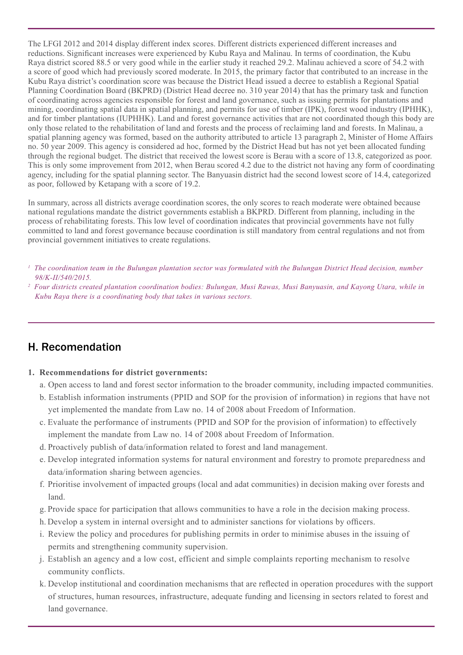The LFGI 2012 and 2014 display different index scores. Different districts experienced different increases and reductions. Significant increases were experienced by Kubu Raya and Malinau. In terms of coordination, the Kubu Raya district scored 88.5 or very good while in the earlier study it reached 29.2. Malinau achieved a score of 54.2 with a score of good which had previously scored moderate. In 2015, the primary factor that contributed to an increase in the Kubu Raya district's coordination score was because the District Head issued a decree to establish a Regional Spatial Planning Coordination Board (BKPRD) (District Head decree no. 310 year 2014) that has the primary task and function of coordinating across agencies responsible for forest and land governance, such as issuing permits for plantations and mining, coordinating spatial data in spatial planning, and permits for use of timber (IPK), forest wood industry (IPHHK), and for timber plantations (IUPHHK). Land and forest governance activities that are not coordinated though this body are only those related to the rehabilitation of land and forests and the process of reclaiming land and forests. In Malinau, a spatial planning agency was formed, based on the authority attributed to article 13 paragraph 2, Minister of Home Affairs no. 50 year 2009. This agency is considered ad hoc, formed by the District Head but has not yet been allocated funding through the regional budget. The district that received the lowest score is Berau with a score of 13.8, categorized as poor. This is only some improvement from 2012, when Berau scored 4.2 due to the district not having any form of coordinating agency, including for the spatial planning sector. The Banyuasin district had the second lowest score of 14.4, categorized as poor, followed by Ketapang with a score of 19.2.

In summary, across all districts average coordination scores, the only scores to reach moderate were obtained because national regulations mandate the district governments establish a BKPRD. Different from planning, including in the process of rehabilitating forests. This low level of coordination indicates that provincial governments have not fully committed to land and forest governance because coordination is still mandatory from central regulations and not from provincial government initiatives to create regulations.

- *<sup>1</sup> The coordination team in the Bulungan plantation sector was formulated with the Bulungan District Head decision, number 98/K-II/540/2015.*
- *<sup>2</sup> Four districts created plantation coordination bodies: Bulungan, Musi Rawas, Musi Banyuasin, and Kayong Utara, while in Kubu Raya there is a coordinating body that takes in various sectors.*

# H. Recomendation

- **1. Recommendations for district governments:**
	- a. Open access to land and forest sector information to the broader community, including impacted communities.
	- b. Establish information instruments (PPID and SOP for the provision of information) in regions that have not yet implemented the mandate from Law no. 14 of 2008 about Freedom of Information.
	- c. Evaluate the performance of instruments (PPID and SOP for the provision of information) to effectively implement the mandate from Law no. 14 of 2008 about Freedom of Information.
	- d. Proactively publish of data/information related to forest and land management.
	- e. Develop integrated information systems for natural environment and forestry to promote preparedness and data/information sharing between agencies.
	- f. Prioritise involvement of impacted groups (local and adat communities) in decision making over forests and land.
	- g. Provide space for participation that allows communities to have a role in the decision making process.
	- h. Develop a system in internal oversight and to administer sanctions for violations by officers.
	- i. Review the policy and procedures for publishing permits in order to minimise abuses in the issuing of permits and strengthening community supervision.
	- j. Establish an agency and a low cost, efficient and simple complaints reporting mechanism to resolve community conflicts.
	- k. Develop institutional and coordination mechanisms that are reflected in operation procedures with the support of structures, human resources, infrastructure, adequate funding and licensing in sectors related to forest and land governance.